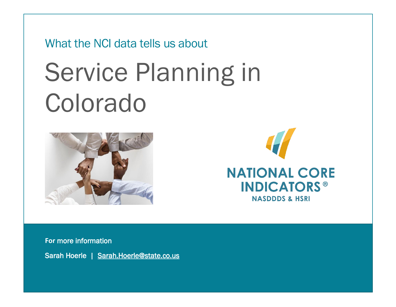What the NCI data tells us about

# Service Planning in Colorado





**For** more information

Sarah Hoerle | [Sarah.Hoerle@state.co.us](mailto:Sarah.Hoerle@state.co.us)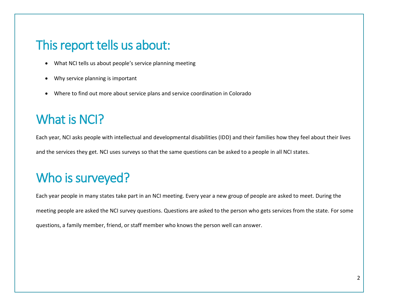#### This report tells us about:

- What NCI tells us about people's service planning meeting
- Why service planning is important
- Where to find out more about service plans and service coordination in Colorado

## What is NCI?

Each year, NCI asks people with intellectual and developmental disabilities (IDD) and their families how they feel about their lives and the services they get. NCI uses surveys so that the same questions can be asked to a people in all NCI states.

# Who is surveyed?

Each year people in many states take part in an NCI meeting. Every year a new group of people are asked to meet. During the meeting people are asked the NCI survey questions. Questions are asked to the person who gets services from the state. For some questions, a family member, friend, or staff member who knows the person well can answer.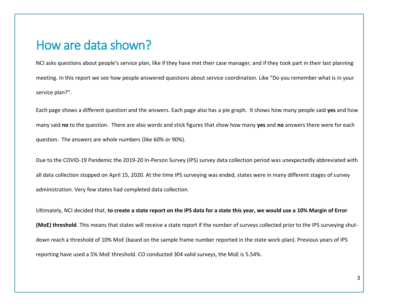#### How are data shown?

NCI asks questions about people's service plan, like if they have met their case manager, and if they took part in their last planning meeting. In this report we see how people answered questions about service coordination. Like "Do you remember what is in your service plan?".

Each page shows a different question and the answers. Each page also has a pie graph. It shows how many people said **yes** and how many said **no** to the question. There are also words and stick figures that show how many **yes** and **no** answers there were for each question. The answers are whole numbers (like 60% or 90%).

Due to the COVID-19 Pandemic the 2019-20 In-Person Survey (IPS) survey data collection period was unexpectedly abbreviated with all data collection stopped on April 15, 2020. At the time IPS surveying was ended, states were in many different stages of survey administration. Very few states had completed data collection.

Ultimately, NCI decided that, **to create a state report on the IPS data for a state this year, we would use a 10% Margin of Error (MoE) threshold**. This means that states will receive a state report if the number of surveys collected prior to the IPS surveying shutdown reach a threshold of 10% MoE (based on the sample frame number reported in the state work-plan). Previous years of IPS reporting have used a 5% MoE threshold. CO conducted 304 valid surveys, the MoE is 5.54%.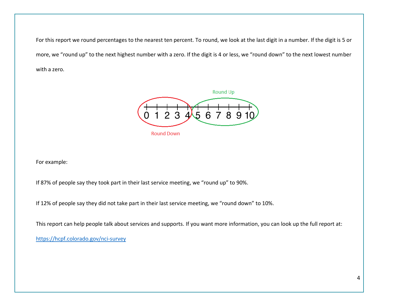For this report we round percentages to the nearest ten percent. To round, we look at the last digit in a number. If the digit is 5 or more, we "round up" to the next highest number with a zero. If the digit is 4 or less, we "round down" to the next lowest number with a zero.



For example:

If 87% of people say they took part in their last service meeting, we "round up" to 90%.

If 12% of people say they did not take part in their last service meeting, we "round down" to 10%.

This report can help people talk about services and supports. If you want more information, you can look up the full report at:

<https://hcpf.colorado.gov/nci-survey>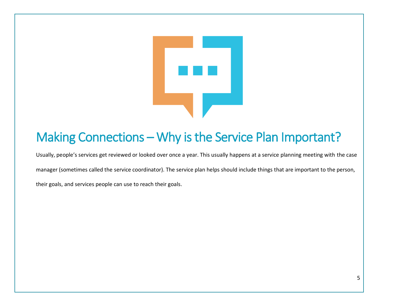

# Making Connections – Why is the Service Plan Important?

Usually, people's services get reviewed or looked over once a year. This usually happens at a service planning meeting with the case manager (sometimes called the service coordinator). The service plan helps should include things that are important to the person, their goals, and services people can use to reach their goals.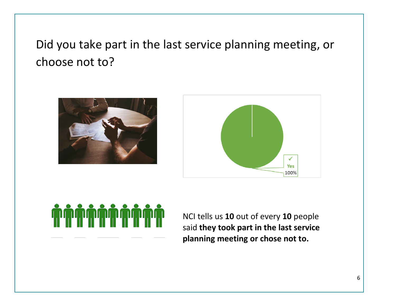Did you take part in the last service planning meeting, or choose not to?







NCI tells us **10** out of every **10** people said **they took part in the last service planning meeting or chose not to.**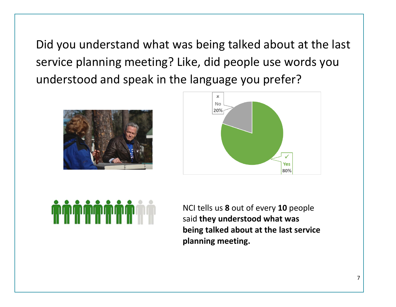Did you understand what was being talked about at the last service planning meeting? Like, did people use words you understood and speak in the language you prefer?







NCI tells us **8** out of every **10** people said **they understood what was being talked about at the last service planning meeting.**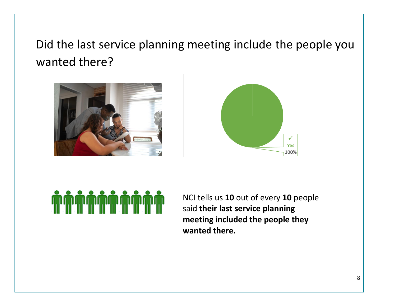# Did the last service planning meeting include the people you wanted there?







NCI tells us **10** out of every **10** people said **their last service planning meeting included the people they wanted there.**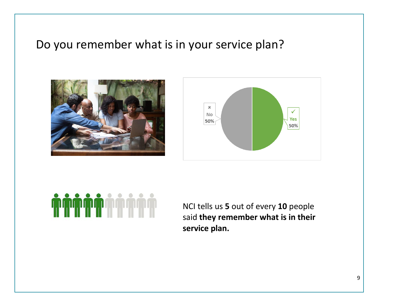#### Do you remember what is in your service plan?







NCI tells us **5** out of every **10** people said **they remember what is in their service plan.**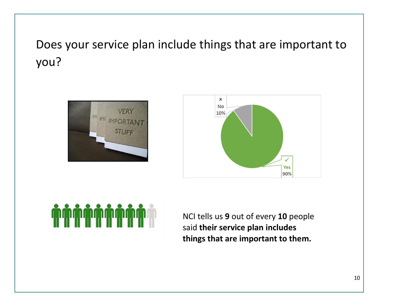# Does your service plan include things that are important to you?







NCI tells us **9** out of every **10** people said **their service plan includes things that are important to them.**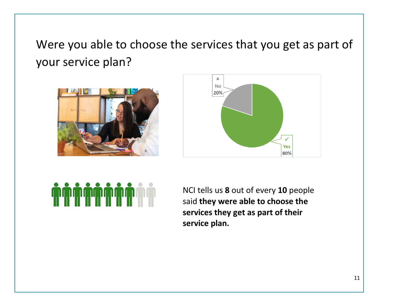Were you able to choose the services that you get as part of your service plan?







NCI tells us **8** out of every **10** people said **they were able to choose the services they get as part of their service plan.**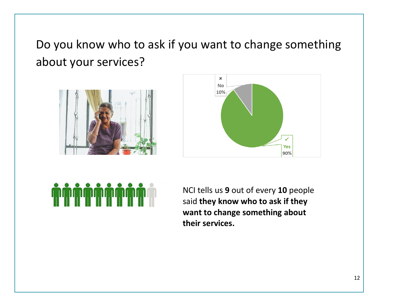Do you know who to ask if you want to change something about your services?







NCI tells us **9** out of every **10** people said **they know who to ask if they want to change something about their services.**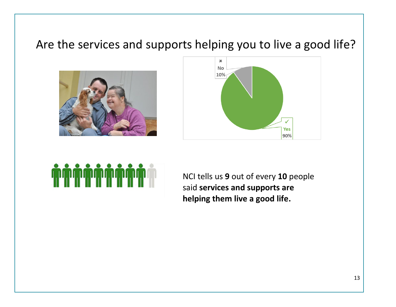## Are the services and supports helping you to live a good life?







NCI tells us **9** out of every **10** people said **services and supports are helping them live a good life.**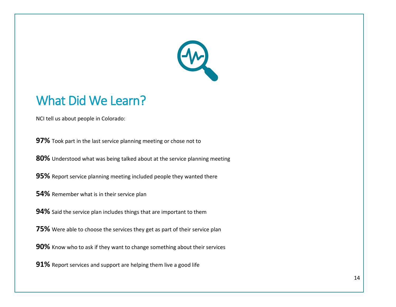

#### What Did We Learn?

NCI tell us about people in Colorado:

**97%** Took part in the last service planning meeting or chose not to

**80%** Understood what was being talked about at the service planning meeting

**95%** Report service planning meeting included people they wanted there

**54%** Remember what is in their service plan

**94%** Said the service plan includes things that are important to them

**75%** Were able to choose the services they get as part of their service plan

**90%** Know who to ask if they want to change something about their services

**91%** Report services and support are helping them live a good life